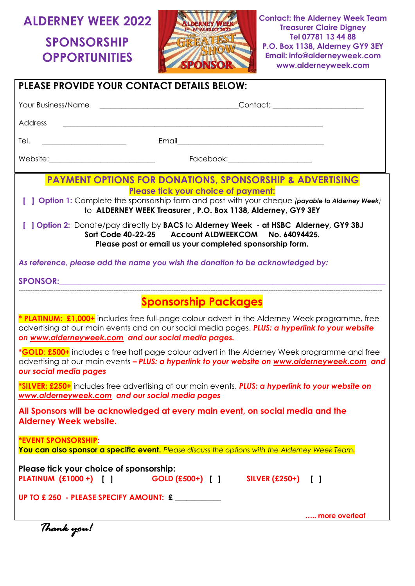# **ALDERNEY WEEK 2022**

**SPONSORSHIP OPPORTUNITIES**



**Contact: the Alderney Week Team Treasurer Claire Digney Tel 07781 13 44 88 P.O. Box 1138, Alderney GY9 3EY Email: info@alderneyweek.com www.alderneyweek.com**

|                                                                          | <b>PLEASE PROVIDE YOUR CONTACT DETAILS BELOW:</b>                                                                                                                                                                                                                                                                                                                                                                               |
|--------------------------------------------------------------------------|---------------------------------------------------------------------------------------------------------------------------------------------------------------------------------------------------------------------------------------------------------------------------------------------------------------------------------------------------------------------------------------------------------------------------------|
| Your Business/Name                                                       |                                                                                                                                                                                                                                                                                                                                                                                                                                 |
| Address                                                                  |                                                                                                                                                                                                                                                                                                                                                                                                                                 |
| Tel.                                                                     |                                                                                                                                                                                                                                                                                                                                                                                                                                 |
|                                                                          | Facebook:_________________________                                                                                                                                                                                                                                                                                                                                                                                              |
|                                                                          | <b>PAYMENT OPTIONS FOR DONATIONS, SPONSORSHIP &amp; ADVERTISING</b><br>Please tick your choice of payment:<br>[ ] Option 1: Complete the sponsorship form and post with your cheque (payable to Alderney Week)<br>to ALDERNEY WEEK Treasurer, P.O. Box 1138, Alderney, GY9 3EY<br>[ ] Option 2: Donate/pay directly by BACS to Alderney Week - at HSBC Alderney, GY9 3BJ<br>Sort Code 40-22-25 Account ALDWEEKCOM No. 64094425. |
|                                                                          | Please post or email us your completed sponsorship form.                                                                                                                                                                                                                                                                                                                                                                        |
|                                                                          | As reference, please add the name you wish the donation to be acknowledged by:                                                                                                                                                                                                                                                                                                                                                  |
|                                                                          | SPONSOR: And the second contract of the second contract of the second contract of the second contract of the second contract of the second contract of the second contract of the second contract of the second contract of th                                                                                                                                                                                                  |
|                                                                          | <b>Sponsorship Packages</b>                                                                                                                                                                                                                                                                                                                                                                                                     |
|                                                                          | * PLATINUM: £1,000+ includes free full-page colour advert in the Alderney Week programme, free<br>advertising at our main events and on our social media pages. PLUS: a hyperlink to your website<br>on www.alderneyweek.com and our social media pages.                                                                                                                                                                        |
| our social media pages                                                   | *GOLD: £500+ includes a free half page colour advert in the Alderney Week programme and free<br>advertising at our main events - PLUS: a hyperlink to your website on www.alderneyweek.com and                                                                                                                                                                                                                                  |
|                                                                          | *SILVER: £250+ includes free advertising at our main events. PLUS: a hyperlink to your website on<br><u>www.alderneyweek.com</u> and our social media pages                                                                                                                                                                                                                                                                     |
| <b>Alderney Week website.</b>                                            | All Sponsors will be acknowledged at every main event, on social media and the                                                                                                                                                                                                                                                                                                                                                  |
| <b><i>*EVENT SPONSORSHIP:</i></b>                                        | You can also sponsor a specific event. Please discuss the options with the Alderney Week Team.                                                                                                                                                                                                                                                                                                                                  |
| Please tick your choice of sponsorship:<br><b>PLATINUM (£1000 +)</b> [ ] | SILVER (£250+) [ ]<br>$GOLD (£500+)$ [ ]                                                                                                                                                                                                                                                                                                                                                                                        |
|                                                                          | UP TO £250 - PLEASE SPECIFY AMOUNT: £                                                                                                                                                                                                                                                                                                                                                                                           |
|                                                                          | more overleaf                                                                                                                                                                                                                                                                                                                                                                                                                   |
| Thank you!                                                               |                                                                                                                                                                                                                                                                                                                                                                                                                                 |